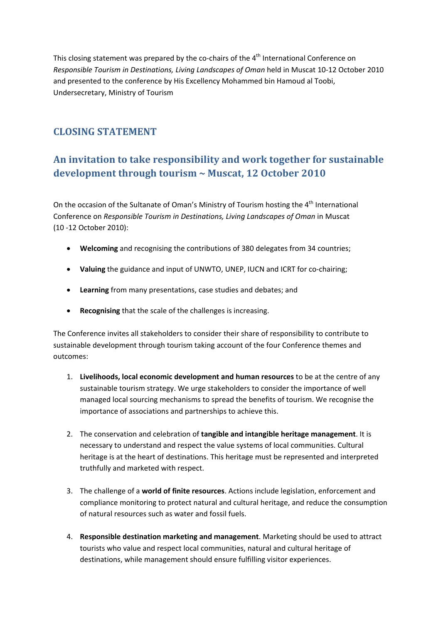This closing statement was prepared by the co-chairs of the  $4<sup>th</sup>$  International Conference on *Responsible Tourism in Destinations, Living Landscapes of Oman* held in Muscat 10‐12 October 2010 and presented to the conference by His Excellency Mohammed bin Hamoud al Toobi, Undersecretary, Ministry of Tourism

## **CLOSING STATEMENT**

## **An invitation to take responsibility and work together for sustainable development through tourism ~ Muscat, 12 October 2010**

On the occasion of the Sultanate of Oman's Ministry of Tourism hosting the 4<sup>th</sup> International Conference on *Responsible Tourism in Destinations, Living Landscapes of Oman* in Muscat (10 ‐12 October 2010):

- **Welcoming** and recognising the contributions of 380 delegates from 34 countries;
- **•** Valuing the guidance and input of UNWTO, UNEP, IUCN and ICRT for co-chairing;
- **Learning** from many presentations, case studies and debates; and
- **Recognising** that the scale of the challenges is increasing.

The Conference invites all stakeholders to consider their share of responsibility to contribute to sustainable development through tourism taking account of the four Conference themes and outcomes:

- 1. **Livelihoods, local economic development and human resources** to be at the centre of any sustainable tourism strategy. We urge stakeholders to consider the importance of well managed local sourcing mechanisms to spread the benefits of tourism. We recognise the importance of associations and partnerships to achieve this.
- 2. The conservation and celebration of **tangible and intangible heritage management**. It is necessary to understand and respect the value systems of local communities. Cultural heritage is at the heart of destinations. This heritage must be represented and interpreted truthfully and marketed with respect.
- 3. The challenge of a **world of finite resources**. Actions include legislation, enforcement and compliance monitoring to protect natural and cultural heritage, and reduce the consumption of natural resources such as water and fossil fuels.
- 4. **Responsible destination marketing and management**. Marketing should be used to attract tourists who value and respect local communities, natural and cultural heritage of destinations, while management should ensure fulfilling visitor experiences.